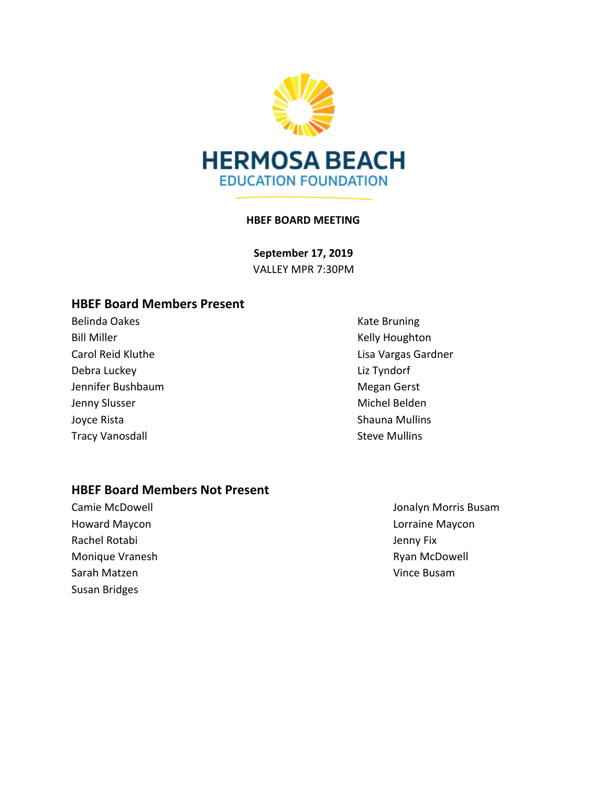

#### **HBEF BOARD MEETING**

**September 17, 2019** VALLEY MPR 7:30PM

## **HBEF Board Members Present**

Belinda Oakes **Kate Bruning** Kate Bruning Bill Miller **Kelly Houghton** Debra Luckey **Liz Tyndorf** Jennifer Bushbaum and The Controller and Megan Gerst Jenny Slusser Michel Belden Joyce Rista **Shauna Mullins** Shauna Mullins Tracy Vanosdall **Steve Mullins** Steve Mullins

Carol Reid Kluthe Lisa Vargas Gardner

### **HBEF Board Members Not Present**

Howard Maycon **Lorraine Maycon** Rachel Rotabi **Jenny Fix** Monique Vranesh **Ryan McDowell** Sarah Matzen **Vince Busam** Susan Bridges

Camie McDowell Jonalyn Morris Busam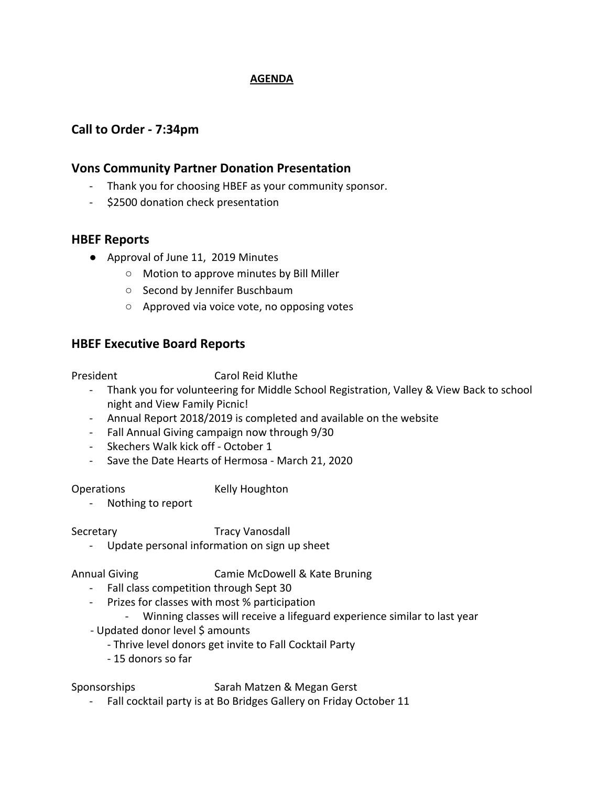### **AGENDA**

## **Call to Order - 7:34pm**

## **Vons Community Partner Donation Presentation**

- Thank you for choosing HBEF as your community sponsor.
- \$2500 donation check presentation

## **HBEF Reports**

- Approval of June 11, 2019 Minutes
	- Motion to approve minutes by Bill Miller
	- Second by Jennifer Buschbaum
	- Approved via voice vote, no opposing votes

## **HBEF Executive Board Reports**

President Carol Reid Kluthe

- Thank you for volunteering for Middle School Registration, Valley & View Back to school night and View Family Picnic!
- Annual Report 2018/2019 is completed and available on the website
- Fall Annual Giving campaign now through 9/30
- Skechers Walk kick off October 1
- Save the Date Hearts of Hermosa March 21, 2020

Operations Kelly Houghton

- Nothing to report

Secretary Tracy Vanosdall

Update personal information on sign up sheet

Annual Giving Camie McDowell & Kate Bruning

- Fall class competition through Sept 30
- Prizes for classes with most % participation
	- Winning classes will receive a lifeguard experience similar to last year
- Updated donor level \$ amounts
	- Thrive level donors get invite to Fall Cocktail Party
	- 15 donors so far

Sponsorships Sarah Matzen & Megan Gerst

- Fall cocktail party is at Bo Bridges Gallery on Friday October 11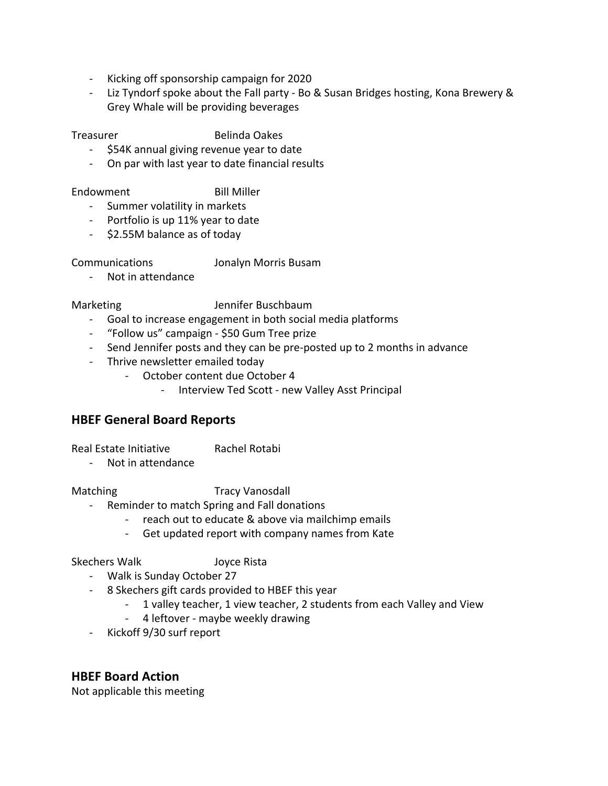- Kicking off sponsorship campaign for 2020
- Liz Tyndorf spoke about the Fall party Bo & Susan Bridges hosting, Kona Brewery & Grey Whale will be providing beverages

Treasurer Belinda Oakes

- \$54K annual giving revenue year to date
- On par with last year to date financial results

#### Endowment Bill Miller

- Summer volatility in markets
- Portfolio is up 11% year to date
- \$2.55M balance as of today

Communications Jonalyn Morris Busam

- Not in attendance

#### Marketing **Internal Sensitive Buschbaum**

- Goal to increase engagement in both social media platforms
- "Follow us" campaign \$50 Gum Tree prize
- Send Jennifer posts and they can be pre-posted up to 2 months in advance
- Thrive newsletter emailed today
	- October content due October 4
		- Interview Ted Scott new Valley Asst Principal

# **HBEF General Board Reports**

Real Estate Initiative **Rachel Rotabi** 

- Not in attendance

Matching Tracy Vanosdall

- Reminder to match Spring and Fall donations
	- reach out to educate & above via mailchimp emails
	- Get updated report with company names from Kate

Skechers Walk Joyce Rista

- Walk is Sunday October 27
- 8 Skechers gift cards provided to HBEF this year
	- 1 valley teacher, 1 view teacher, 2 students from each Valley and View
	- 4 leftover maybe weekly drawing
- Kickoff 9/30 surf report

## **HBEF Board Action**

Not applicable this meeting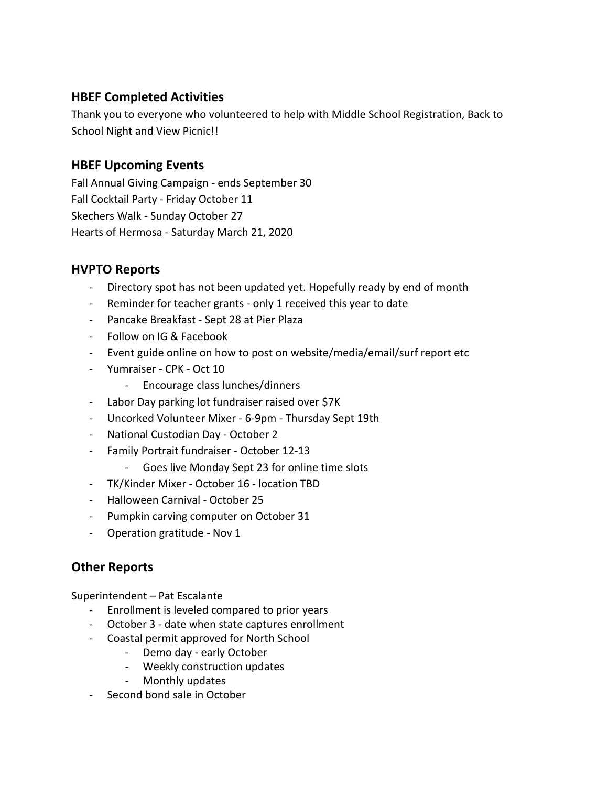# **HBEF Completed Activities**

Thank you to everyone who volunteered to help with Middle School Registration, Back to School Night and View Picnic!!

## **HBEF Upcoming Events**

Fall Annual Giving Campaign - ends September 30 Fall Cocktail Party - Friday October 11 Skechers Walk - Sunday October 27 Hearts of Hermosa - Saturday March 21, 2020

# **HVPTO Reports**

- Directory spot has not been updated yet. Hopefully ready by end of month
- Reminder for teacher grants only 1 received this year to date
- Pancake Breakfast Sept 28 at Pier Plaza
- Follow on IG & Facebook
- Event guide online on how to post on website/media/email/surf report etc
- Yumraiser CPK Oct 10
	- Encourage class lunches/dinners
- Labor Day parking lot fundraiser raised over \$7K
- Uncorked Volunteer Mixer 6-9pm Thursday Sept 19th
- National Custodian Day October 2
- Family Portrait fundraiser October 12-13
	- Goes live Monday Sept 23 for online time slots
- TK/Kinder Mixer October 16 location TBD
- Halloween Carnival October 25
- Pumpkin carving computer on October 31
- Operation gratitude Nov 1

# **Other Reports**

Superintendent – Pat Escalante

- Enrollment is leveled compared to prior years
- October 3 date when state captures enrollment
- Coastal permit approved for North School
	- Demo day early October
		- Weekly construction updates
		- Monthly updates
- Second bond sale in October